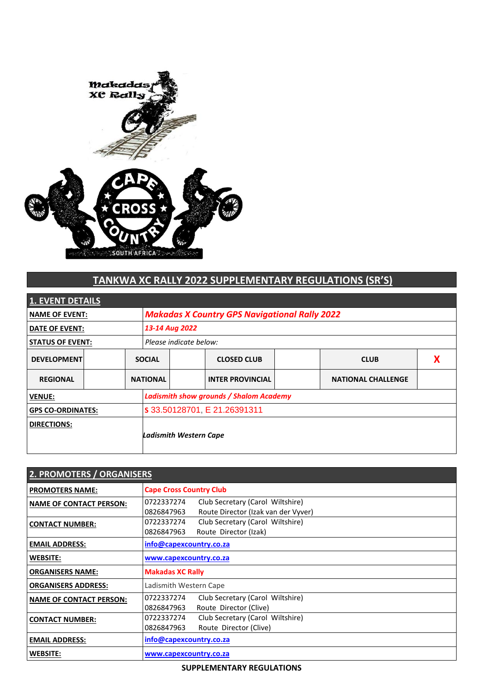

# **TANKWA XC RALLY 2022 SUPPLEMENTARY REGULATIONS (SR'S)**

| <b>1. EVENT DETAILS</b>  |  |                 |                                                      |  |                           |  |  |
|--------------------------|--|-----------------|------------------------------------------------------|--|---------------------------|--|--|
| <b>NAME OF EVENT:</b>    |  |                 | <b>Makadas X Country GPS Navigational Rally 2022</b> |  |                           |  |  |
| <b>DATE OF EVENT:</b>    |  |                 | 13-14 Aug 2022                                       |  |                           |  |  |
| <b>STATUS OF EVENT:</b>  |  |                 | Please indicate below:                               |  |                           |  |  |
| <b>DEVELOPMENT</b>       |  | <b>SOCIAL</b>   | <b>CLOSED CLUB</b>                                   |  | <b>CLUB</b>               |  |  |
| <b>REGIONAL</b>          |  | <b>NATIONAL</b> | <b>INTER PROVINCIAL</b>                              |  | <b>NATIONAL CHALLENGE</b> |  |  |
| <b>VENUE:</b>            |  |                 | <b>Ladismith show grounds / Shalom Academy</b>       |  |                           |  |  |
| <b>GPS CO-ORDINATES:</b> |  |                 | s 33.50128701, E 21.26391311                         |  |                           |  |  |
| <b>DIRECTIONS:</b>       |  |                 | Ladismith Western Cape                               |  |                           |  |  |

| 2. PROMOTERS / ORGANISERS      |                                                                                                     |  |  |
|--------------------------------|-----------------------------------------------------------------------------------------------------|--|--|
| <b>PROMOTERS NAME:</b>         | <b>Cape Cross Country Club</b>                                                                      |  |  |
| <b>NAME OF CONTACT PERSON:</b> | Club Secretary (Carol Wiltshire)<br>0722337274<br>Route Director (Izak van der Vyver)<br>0826847963 |  |  |
| <b>CONTACT NUMBER:</b>         | Club Secretary (Carol Wiltshire)<br>0722337274<br>0826847963<br>Route Director (Izak)               |  |  |
| <b>EMAIL ADDRESS:</b>          | info@capexcountry.co.za                                                                             |  |  |
| WEBSITE:                       | www.capexcountry.co.za                                                                              |  |  |
| <b>ORGANISERS NAME:</b>        | <b>Makadas XC Rally</b>                                                                             |  |  |
| <b>ORGANISERS ADDRESS:</b>     | Ladismith Western Cape                                                                              |  |  |
| <b>NAME OF CONTACT PERSON:</b> | Club Secretary (Carol Wiltshire)<br>0722337274<br>Route Director (Clive)<br>0826847963              |  |  |
| <b>CONTACT NUMBER:</b>         | Club Secretary (Carol Wiltshire)<br>0722337274<br>Route Director (Clive)<br>0826847963              |  |  |
| <b>EMAIL ADDRESS:</b>          | info@capexcountry.co.za                                                                             |  |  |
| <b>WEBSITE:</b>                | www.capexcountry.co.za                                                                              |  |  |

## **SUPPLEMENTARY REGULATIONS**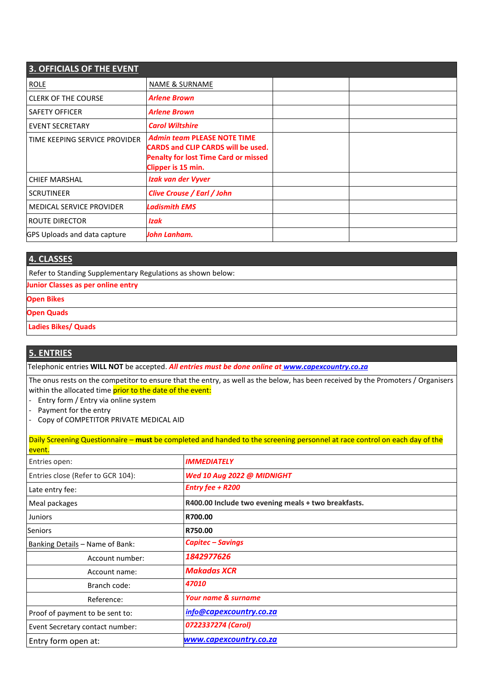| <b>3. OFFICIALS OF THE EVENT</b>    |                                                                                                                                                      |  |  |  |
|-------------------------------------|------------------------------------------------------------------------------------------------------------------------------------------------------|--|--|--|
| <b>ROLE</b>                         | <b>NAME &amp; SURNAME</b>                                                                                                                            |  |  |  |
| <b>CLERK OF THE COURSE</b>          | <b>Arlene Brown</b>                                                                                                                                  |  |  |  |
| <b>SAFETY OFFICER</b>               | <b>Arlene Brown</b>                                                                                                                                  |  |  |  |
| <b>EVENT SECRETARY</b>              | <b>Carol Wiltshire</b>                                                                                                                               |  |  |  |
| TIME KEEPING SERVICE PROVIDER       | <b>Admin team PLEASE NOTE TIME</b><br><b>CARDS and CLIP CARDS will be used.</b><br><b>Penalty for lost Time Card or missed</b><br>Clipper is 15 min. |  |  |  |
| <b>CHIEF MARSHAL</b>                | Izak van der Vyver                                                                                                                                   |  |  |  |
| <b>SCRUTINEER</b>                   | Clive Crouse / Earl / John                                                                                                                           |  |  |  |
| <b>MEDICAL SERVICE PROVIDER</b>     | <b>Ladismith EMS</b>                                                                                                                                 |  |  |  |
| I ROUTE DIRECTOR                    | Izak                                                                                                                                                 |  |  |  |
| <b>GPS Uploads and data capture</b> | John Lanham.                                                                                                                                         |  |  |  |

### **4. CLASSES**

Refer to Standing Supplementary Regulations as shown below:

### **Junior Classes as per online entry**

- **Open Bikes**
- **Open Quads**
- **Ladies Bikes/ Quads**

### **5. ENTRIES**

Telephonic entries **WILL NOT** be accepted. *All entries must be done online at www.capexcountry.co.za*

The onus rests on the competitor to ensure that the entry, as well as the below, has been received by the Promoters / Organisers within the allocated time prior to the date of the event:

- Entry form / Entry via online system
- Payment for the entry
- Copy of COMPETITOR PRIVATE MEDICAL AID

|                                   | Daily Screening Questionnaire – must be completed and handed to the screening personnel at race control on each day of the |  |  |
|-----------------------------------|----------------------------------------------------------------------------------------------------------------------------|--|--|
| event.                            |                                                                                                                            |  |  |
| Entries open:                     | <b>IMMEDIATELY</b>                                                                                                         |  |  |
| Entries close (Refer to GCR 104): | Wed 10 Aug 2022 @ MIDNIGHT                                                                                                 |  |  |
| Late entry fee:                   | <b>Entry fee + R200</b>                                                                                                    |  |  |
| Meal packages                     | R400.00 Include two evening meals + two breakfasts.                                                                        |  |  |
| <b>Juniors</b>                    | R700.00                                                                                                                    |  |  |
| <b>Seniors</b>                    | R750.00                                                                                                                    |  |  |
| Banking Details - Name of Bank:   | <b>Capitec - Savings</b>                                                                                                   |  |  |
| Account number:                   | 1842977626                                                                                                                 |  |  |
| Account name:                     | <b>Makadas XCR</b>                                                                                                         |  |  |
| Branch code:                      | 47010                                                                                                                      |  |  |
| Reference:                        | <b>Your name &amp; surname</b>                                                                                             |  |  |
| Proof of payment to be sent to:   | info@capexcountry.co.za                                                                                                    |  |  |
| Event Secretary contact number:   | 0722337274 (Carol)                                                                                                         |  |  |
| Entry form open at:               | www.capexcountry.co.za                                                                                                     |  |  |